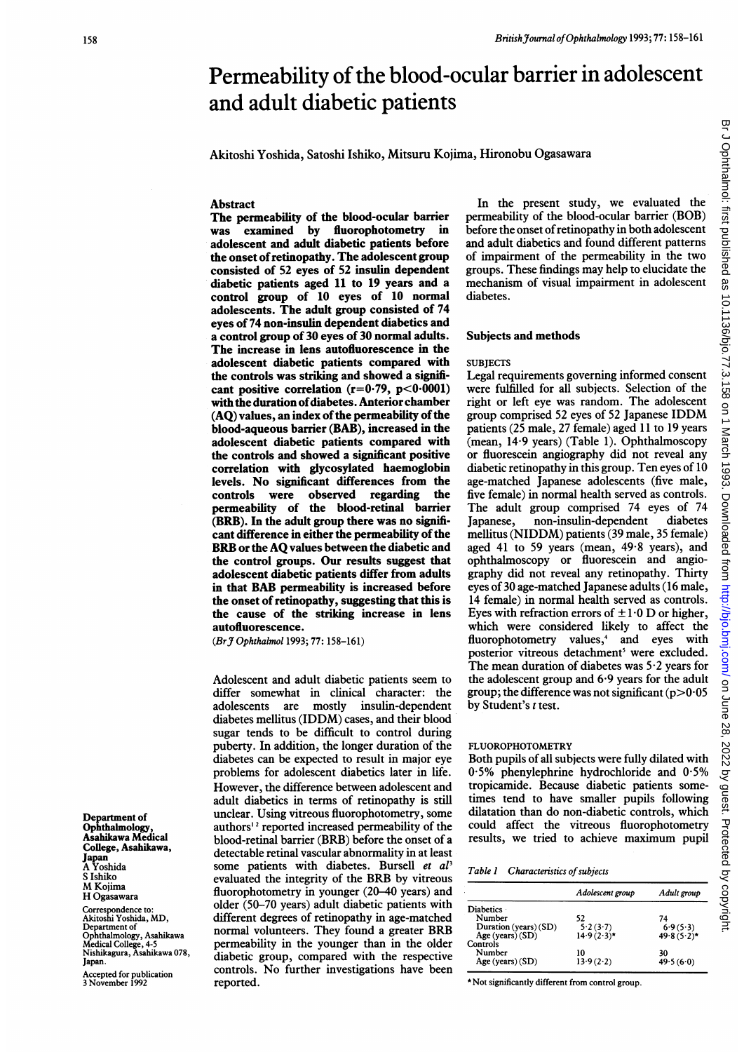# Permeability of the blood-ocular barrier in adolescent and adult diabetic patients

Akitoshi Yoshida, Satoshi Ishiko, Mitsuru Kojima, Hironobu Ogasawara

## Abstract

The permeability of the blood-ocular barrier was examined by fluorophotometry in adolescent and adult diabetic patients before the onset of retinopathy. The adolescent group consisted of 52 eyes of 52 insulin dependent diabetic patients aged 11 to 19 years and a control group of 10 eyes of 10 normal adolescents. The adult group consisted of 74 eyes of 74 non-insulin dependent diabetics and a control group of 30 eyes of 30 normal adults. The increase in lens autofluorescence in the adolescent diabetic patients compared with the controls was striking and showed a significant positive correlation  $(r=0.79, p<0.0001)$ with the duration of diabetes. Anterior chamber  $(AQ)$  values, an index of the permeability of the blood-aqueous barrier (BAB), increased in the adolescent diabetic patients compared with the controls and showed a significant positive correlation with glycosylated haemoglobin levels. No significant differences from the controls were observed regarding permeability of the blood-retinal barrier (BRB). In the adult group there was no significant difference in either the permeability of the BRB or the AQ values between the diabetic and the control groups. Our results suggest that adolescent diabetic patients differ from adults in that BAB permeability is increased before the onset of retinopathy, suggesting that this is the cause of the striking increase in lens autofluorescence.

(Br J Ophthalmol 1993; 77: 158-161)

Adolescent and adult diabetic patients seem to differ somewhat in clinical character: the adolescents are mostly insulin-dependent adolescents are mostly diabetes mellitus (IDDM) cases, and their blood sugar tends to be difficult to control during puberty. In addition, the longer duration of the diabetes can be expected to result in major eye problems for adolescent diabetics later in life. However, the difference between adolescent and adult diabetics in terms of retinopathy is still unclear. Using vitreous fluorophotometry, some authors'<sup>2</sup> reported increased permeability of the blood-retinal barrier (BRB) before the onset of a detectable retinal vascular abnormality in at least some patients with diabetes. Bursell et al<sup>3</sup> evaluated the integrity of the BRB by vitreous fluorophotometry in younger (20-40 years) and older (50-70 years) adult diabetic patients with different degrees of retinopathy in age-matched normal volunteers. They found <sup>a</sup> greater BRB permeability in the younger than in the older diabetic group, compared with the respective controls. No further investigations have been reported.

In the present study, we evaluated the permeability of the blood-ocular barrier (BOB) before the onset of retinopathy in both adolescent and adult diabetics and found different patterns of impairment of the permeability in the two groups. These findings may help to elucidate the mechanism of visual impairment in adolescent diabetes.

#### Subjects and methods

#### **SUBJECTS**

Legal requirements governing informed consent were fulfilled for all subjects. Selection of the right or left eye was random. The adolescent group comprised <sup>52</sup> eyes of <sup>52</sup> Japanese IDDM patients (25 male, 27 female) aged 11 to 19 years (mean, 14-9 years) (Table 1). Ophthalmoscopy or fluorescein angiography did not reveal any diabetic retinopathy in this group. Ten eyes of 10 age-matched Japanese adolescents (five male, five female) in normal health served as controls. The adult group comprised 74 eyes of 74 Iapanese. non-insulin-dependent diabetes Japanese, non-insulin-dependent mellitus (NIDDM) patients (39 male, <sup>35</sup> female) aged 41 to 59 years (mean, 49-8 years), and ophthalmoscopy or fluorescein and angiography did not reveal any retinopathy. Thirty eyes of 30 age-matched Japanese adults (16 male, 14 female) in normal health served as controls. Eyes with refraction errors of  $\pm 1.0$  D or higher, which were considered likely to affect the fluorophotometry values,<sup>4</sup> and eyes with posterior vitreous detachment' were excluded. The mean duration of diabetes was  $5.2$  years for the adolescent group and 6-9 years for the adult group; the difference was not significant (p $>0.05$ by Student's *t* test.

## FLUOROPHOTOMETRY

Both pupils of all subjects were fully dilated with 0 5% phenylephrine hydrochloride and <sup>0</sup> 5% tropicamide. Because diabetic patients sometimes tend to have smaller pupils following dilatation than do non-diabetic controls, which could affect the vitreous fluorophotometry results, we tried to achieve maximum pupil

Table 1 Characteristics of subjects

|                                           | Adolescent group | Adult group   |
|-------------------------------------------|------------------|---------------|
| <b>Diabetics</b>                          |                  |               |
| Number                                    | 52               | 74            |
|                                           | 5.2(3.7)         | 6.9(5.3)      |
| Duration (years) (SD)<br>Age (years) (SD) | $14.9(2.3)$ *    | $49.8(5.2)$ * |
| Controls                                  |                  |               |
| Number                                    | 10               | 30            |
| Age (years) $(SD)$                        | 13.9(2.2)        | 49.5(6.0)     |

\* Not significantly different from control group.

Br J Ophthalmol: first published as 10.1136/bjo.77.3.158 on 1 March Br J Ophthalmol: first published as 10.1136/bjo.77.3.158 on 1 March 1993. Downloaded from <http://bjo.bmj.com/> Dom/ Br J June 28, 2022 by guest. Protected by copyright.  $1993.$ Downloaded from http://bjo.bmj.com/ on June 28 2022 by guest. Protected by copyright

Department of Ophthalmology, Asahikawa Medical College, Asahikawa, Japan A Yoshida S Ishiko M Kojima H Ogasawara

Correspondence to: Akitoshi Yoshida, MD, Department of Ophthalmology, Asahikawa Medical College, 4-5 Nishikagura, Asahikawa 078, Japan.

Accepted for publication 3 November 1992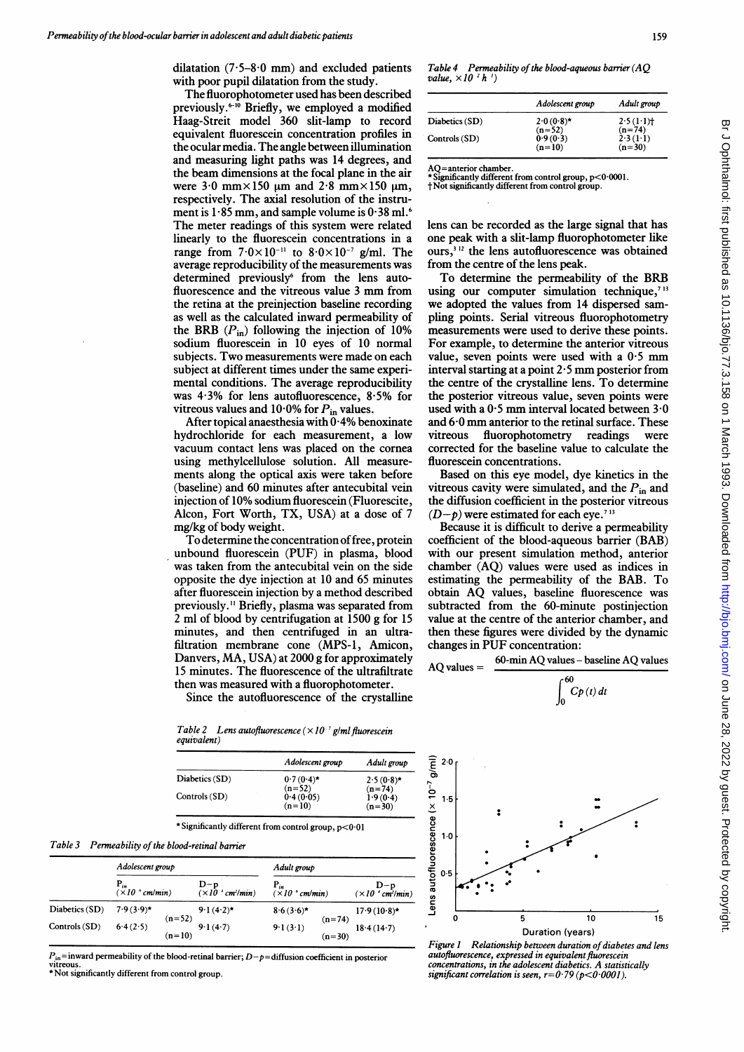dilatation  $(7.5-8.0 \text{ mm})$  and excluded patients with poor pupil dilatation from the study.

The fluorophotometer used has been described previously. $6-10$  Briefly, we employed a modified Haag-Streit model 360 slit-lamp to record equivalent fluorescein concentration profiles in the ocular media. The angle between illumination and measuring light paths was 14 degrees, and the beam dimensions at the focal plane in the air were  $3.0 \text{ mm} \times 150 \text{ µm}$  and  $2.8 \text{ mm} \times 150 \text{ µm}$ , respectively. The axial resolution of the instrument is  $1.85$  mm, and sample volume is  $0.38$  ml.<sup>6</sup> The meter readings of this system were related linearly to the fluorescein concentrations in a range from  $7.0 \times 10^{-11}$  to  $8.0 \times 10^{-7}$  g/ml. The average reproducibility of the measurements was determined previously<sup>6</sup> from the lens autofluorescence and the vitreous value <sup>3</sup> mm from the retina at the preinjection baseline recording as well as the calculated inward permeability of the BRB  $(P_{in})$  following the injection of 10% sodium fluorescein in 10 eyes of 10 normal subjects. Two measurements were made on each subject at different times under the same experimental conditions. The average reproducibility was 4-3% for lens autofluorescence, 8-5% for vitreous values and 10.0% for  $P_{in}$  values.

After topical anaesthesia with  $\overline{0.4\%}$  benoxinate hydrochloride for each measurement, a low vacuum contact lens was placed on the cornea using methylcellulose solution. All measurements along the optical axis were taken before (baseline) and 60 minutes after antecubital vein injection of 10% sodium fluorescein (Fluorescite, Alcon, Fort Worth, TX, USA) at <sup>a</sup> dose of 7 mg/kg of body weight.

To determine the concentration of free, protein unbound fluorescein (PUF) in plasma, blood was taken from the antecubital vein on the side opposite the dye injection at 10 and 65 minutes after fluorescein injection by a method described previously." Briefly, plasma was separated from 2 ml of blood by centrifugation at 1500 g for 15 minutes, and then centrifuged in an ultrafiltration membrane cone (MPS-1, Amicon, Danvers, MA, USA) at 2000 g for approximately 15 minutes. The fluorescence of the ultrafiltrate then was measured with a fluorophotometer.

Since the autofluorescence of the crystalline

|             | Table 2 Lens autofluorescence $(\times 10^{-7}$ g/ml fluorescein |
|-------------|------------------------------------------------------------------|
| equivalent) |                                                                  |

|                | Adolescent group      | Adult group          |
|----------------|-----------------------|----------------------|
| Diabetics (SD) | $0.7(0.4)$ *          | $2.5(0.8)$ *         |
| Controls (SD)  | $(n=52)$<br>0.4(0.05) | $(n=74)$<br>1.9(0.4) |
|                | $(n=10)$              | $(n=30)$             |

\* Significantly different from control group, p<0 <sup>01</sup>



|                | Adolescent group                    |                      | Adult group                           |                                                  |                      |                                                  |
|----------------|-------------------------------------|----------------------|---------------------------------------|--------------------------------------------------|----------------------|--------------------------------------------------|
|                | $P_{in}$<br>(×10 $^{\circ}$ cm/min) |                      | $D-p$<br>(×10 ' cm <sup>2</sup> /min) | ${\bf P}_{in}$<br>$(\times 10$ $\degree$ cm/min) |                      | $D-p$<br>(×10 <sup>+</sup> cm <sup>2</sup> /min) |
| Diabetics (SD) | $7.9(3.9)$ *                        |                      | $9.1(4.2)$ *                          | $8.6(3.6)$ *                                     |                      | $17.9(10.8)$ *                                   |
| Controls (SD)  | 6.4(2.5)                            | $(n=52)$<br>$(n=10)$ | 9.1(4.7)                              | 9.1(3.1)                                         | $(n=74)$<br>$(n=30)$ | 18.4(14.7)                                       |

 $P_{\text{in}}$ =inward permeability of the blood-retinal barrier;  $D-p$ =diffusion coefficient in posterior vitreous.

\* Not significantly different from control group.

|                | Adolescent group         | Adult group          |
|----------------|--------------------------|----------------------|
| Diabetics (SD) | $2.0(0.8)$ *<br>$(n=52)$ | 2.5(1.1)<br>$(n=74)$ |
| Controls (SD)  | 0.9(0.3)<br>$(n=10)$     | 2.3(1.1)<br>$(n=30)$ |

AQ=anterior chamber.

\* Significantly different from control group, p<0 0001. tNot significantly different from control group.

lens can be recorded as the large signal that has one peak with a slit-lamp fluorophotometer like ours,<sup>312</sup> the lens autofluorescence was obtained from the centre of the lens peak.

To determine the permeability of the BRB using our computer simulation technique, $713$ we adopted the values from 14 dispersed sampling points. Serial vitreous fluorophotometry measurements were used to derive these points. For example, to determine the anterior vitreous value, seven points were used with a  $0.5$  mm interval starting at a point  $2.5$  mm posterior from the centre of the crystalline lens. To determine the posterior vitreous value, seven points were used with a  $0.5$  mm interval located between  $3.0$ and  $6.0$  mm anterior to the retinal surface. These<br>virreous fluorophotometry readings were fluorophotometry readings corrected for the baseline value to calculate the fluorescein concentrations.

Based on this eye model, dye kinetics in the vitreous cavity were simulated, and the  $P_{\text{in}}$  and the diffusion coefficient in the posterior vitreous  $(D-p)$  were estimated for each eye.<sup>713</sup>

Because it is difficult to derive a permeability coefficient of the blood-aqueous barrier (BAB) with our present simulation method, anterior chamber (AQ) values were used as indices in estimating the permeability of the BAB. To obtain AQ values, baseline fluorescence was subtracted from the 60-minute postinjection value at the centre of the anterior chamber, and then these figures were divided by the dynamic changes in PUF concentration:

 $AO$  values  $=$ 60-min AQ values - baseline AQ values





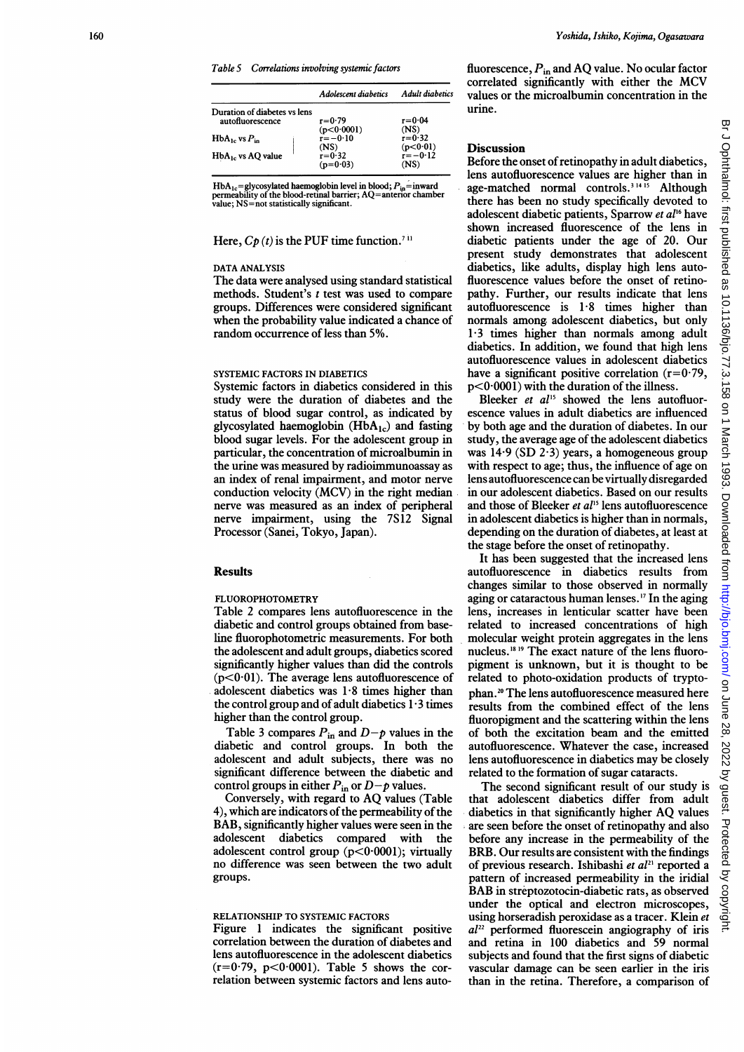|                              | Adolescent diabetics    | Adult diabetics                |
|------------------------------|-------------------------|--------------------------------|
| Duration of diabetes vs lens |                         |                                |
| autofluorescence             | $r=0.79$                | $r = 0.04$<br>(NS)             |
| $HbA_1$ , vs $P_{in}$        | $(p<0.0001)$<br>r=-0.10 | $r = 0.32$                     |
|                              | (NS)                    | (p<0.01)<br>$\ddot{r} = -0.12$ |
| $HbA_1$ , vs AQ value        | $r=0.32$<br>$(n=0.03)$  | (NS)                           |

 $HbA_{1c}$ =glycosylated haemoglobin level in blood;  $P_{in}$ =inward ability of the blood-retinal barrier;  $AQ=$ anterior chamber permeability of the blood setting control value; NS=not statistically significant.

## Here,  $Cp(t)$  is the PUF time function.<sup>711</sup>

#### DATA ANALYSIS

The data were analysed using standard statistical methods. Student's <sup>t</sup> test was used to compare groups. Differences were considered significant when the probability value indicated a chance of random occurrence of less than 5%.

#### SYSTEMIC FACTORS IN DIABETICS

Systemic factors in diabetics considered in this study were the duration of diabetes and the status of blood sugar control, as indicated by glycosylated haemoglobin  $(HbA_{1c})$  and fasting blood sugar levels. For the adolescent group in particular, the concentration of microalbumin in the urine was measured by radioimmunoassay as an index of renal impairment, and motor nerve conduction velocity (MCV) in the right median nerve was measured as an index of peripheral nerve impairment, using the 7S12 Signal Processor (Sanei, Tokyo, Japan).

### Results

## FLUOROPHOTOMETRY

Table 2 compares lens autofluorescence in the diabetic and control groups obtained from baseline fluorophotometric measurements. For both the adolescent and adult groups, diabetics scored significantly higher values than did the controls  $(p<0.01)$ . The average lens autofluorescence of adolescent diabetics was 1-8 times higher than the control group and of adult diabetics  $1.3$  times higher than the control group.

Table 3 compares  $P_{\text{in}}$  and  $D-p$  values in the diabetic and control groups. In both the adolescent and adult subjects, there was no significant difference between the diabetic and control groups in either  $P_{in}$  or  $D-p$  values.

Conversely, with regard to AQ values (Table 4), which are indicators of the permeability of the BAB, significantly higher values were seen in the adolescent diabetics compared with the adolescent control group ( $p<0.0001$ ); virtually no difference was seen between the two adult groups.

#### RELATIONSHIP TO SYSTEMIC FACTORS

Figure <sup>1</sup> indicates the significant positive correlation between the duration of diabetes and lens autofluorescence in the adolescent diabetics  $(r=0.79, p<0.0001)$ . Table 5 shows the correlation between systemic factors and lens auto-

## Discussion

Before the onset of retinopathy in adult diabetics, lens autofluorescence values are higher than in age-matched normal controls.<sup>31415</sup> Although there has been no study specifically devoted to adolescent diabetic patients, Sparrow et al<sup>16</sup> have shown increased fluorescence of the lens in diabetic patients under the age of 20. Our present study demonstrates that adolescent diabetics, like adults, display high lens autofluorescence values before the onset of retinopathy. Further, our results indicate that lens autofluorescence is 1-8 times higher than normals among adolescent diabetics, but only 1-3 times higher than normals among adult diabetics. In addition, we found that high lens autofluorescence values in adolescent diabetics have a significant positive correlation  $(r=0.79)$ ,  $p < 0.0001$ ) with the duration of the illness.

Bleeker et  $al<sup>15</sup>$  showed the lens autofluorescence values in adult diabetics are influenced by both age and the duration of diabetes. In our study, the average age of the adolescent diabetics was 14-9 (SD 2-3) years, a homogeneous group with respect to age; thus, the influence of age on lens autofluorescence can be virtually disregarded in our adolescent diabetics. Based on our results and those of Bleeker et al<sup>15</sup> lens autofluorescence in adolescent diabetics is higher than in normals, depending on the duration of diabetes, at least at the stage before the onset of retinopathy.

It has been suggested that the increased lens autofluorescence in diabetics results from changes similar to those observed in normally aging or cataractous human lenses.<sup>17</sup> In the aging lens, increases in lenticular scatter have been related to increased concentrations of high molecular weight protein aggregates in the lens nucleus.<sup>18</sup> <sup>19</sup> The exact nature of the lens fluoropigment is unknown, but it is thought to be related to photo-oxidation products of tryptophan.20 The lens autofluorescence measured here results from the combined effect of the lens fluoropigment and the scattering within the lens of both the excitation beam and the emitted autofluorescence. Whatever the case, increased lens autofluorescence in diabetics may be closely related to the formation of sugar cataracts.

The second significant result of our study is that adolescent diabetics differ from adult diabetics in that significantly higher AQ values are seen before the onset of retinopathy and also before any increase in the permeability of the BRB. Our results are consistent with the findings of previous research. Ishibashi et al<sup>21</sup> reported a pattern of increased permeability in the iridial BAB in streptozotocin-diabetic rats, as observed under the optical and electron microscopes, using horseradish peroxidase as a tracer. Klein *et*  $al^{22}$  performed fluorescein angiography of iris and retina in 100 diabetics and 59 normal subjects and found that the first signs of diabetic vascular damage can be seen earlier in the iris than in the retina. Therefore, a comparison of